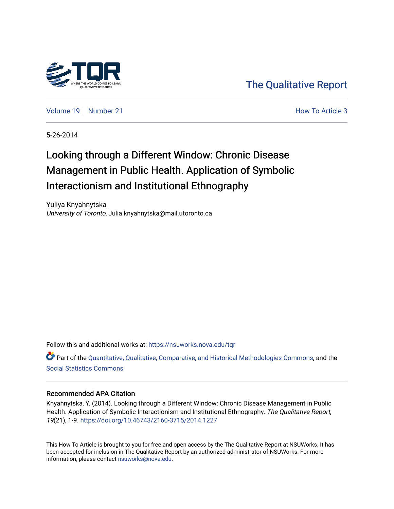

[The Qualitative Report](https://nsuworks.nova.edu/tqr) 

[Volume 19](https://nsuworks.nova.edu/tqr/vol19) [Number 21](https://nsuworks.nova.edu/tqr/vol19/iss21) **How To Article 3 How To Article 3** 

5-26-2014

# Looking through a Different Window: Chronic Disease Management in Public Health. Application of Symbolic Interactionism and Institutional Ethnography

Yuliya Knyahnytska University of Toronto, Julia.knyahnytska@mail.utoronto.ca

Follow this and additional works at: [https://nsuworks.nova.edu/tqr](https://nsuworks.nova.edu/tqr?utm_source=nsuworks.nova.edu%2Ftqr%2Fvol19%2Fiss21%2F3&utm_medium=PDF&utm_campaign=PDFCoverPages) 

Part of the [Quantitative, Qualitative, Comparative, and Historical Methodologies Commons,](http://network.bepress.com/hgg/discipline/423?utm_source=nsuworks.nova.edu%2Ftqr%2Fvol19%2Fiss21%2F3&utm_medium=PDF&utm_campaign=PDFCoverPages) and the [Social Statistics Commons](http://network.bepress.com/hgg/discipline/1275?utm_source=nsuworks.nova.edu%2Ftqr%2Fvol19%2Fiss21%2F3&utm_medium=PDF&utm_campaign=PDFCoverPages) 

# Recommended APA Citation

Knyahnytska, Y. (2014). Looking through a Different Window: Chronic Disease Management in Public Health. Application of Symbolic Interactionism and Institutional Ethnography. The Qualitative Report, 19(21), 1-9. <https://doi.org/10.46743/2160-3715/2014.1227>

This How To Article is brought to you for free and open access by the The Qualitative Report at NSUWorks. It has been accepted for inclusion in The Qualitative Report by an authorized administrator of NSUWorks. For more information, please contact [nsuworks@nova.edu.](mailto:nsuworks@nova.edu)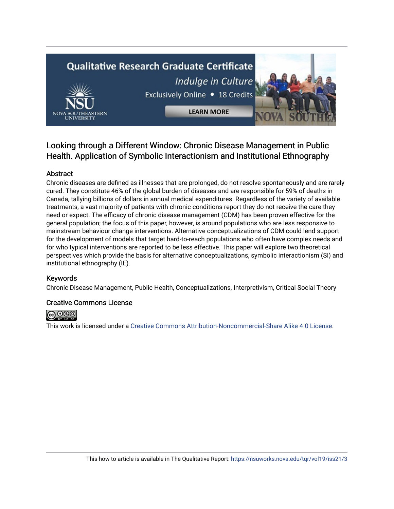# **Qualitative Research Graduate Certificate** Indulge in Culture Exclusively Online . 18 Credits **LEARN MORE**

# Looking through a Different Window: Chronic Disease Management in Public Health. Application of Symbolic Interactionism and Institutional Ethnography

# Abstract

Chronic diseases are defined as illnesses that are prolonged, do not resolve spontaneously and are rarely cured. They constitute 46% of the global burden of diseases and are responsible for 59% of deaths in Canada, tallying billions of dollars in annual medical expenditures. Regardless of the variety of available treatments, a vast majority of patients with chronic conditions report they do not receive the care they need or expect. The efficacy of chronic disease management (CDM) has been proven effective for the general population; the focus of this paper, however, is around populations who are less responsive to mainstream behaviour change interventions. Alternative conceptualizations of CDM could lend support for the development of models that target hard-to-reach populations who often have complex needs and for who typical interventions are reported to be less effective. This paper will explore two theoretical perspectives which provide the basis for alternative conceptualizations, symbolic interactionism (SI) and institutional ethnography (IE).

# Keywords

Chronic Disease Management, Public Health, Conceptualizations, Interpretivism, Critical Social Theory

# Creative Commons License



This work is licensed under a [Creative Commons Attribution-Noncommercial-Share Alike 4.0 License](https://creativecommons.org/licenses/by-nc-sa/4.0/).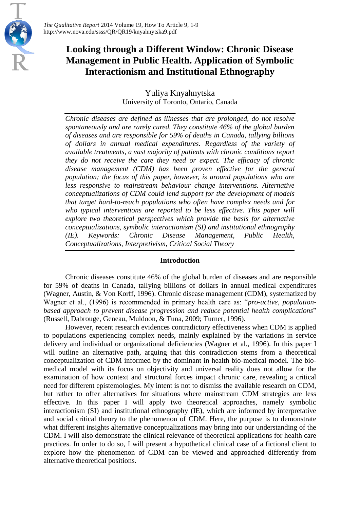# **Looking through a Different Window: Chronic Disease Management in Public Health. Application of Symbolic Interactionism and Institutional Ethnography**

Yuliya Knyahnytska University of Toronto, Ontario, Canada

*Chronic diseases are defined as illnesses that are prolonged, do not resolve spontaneously and are rarely cured. They constitute 46% of the global burden of diseases and are responsible for 59% of deaths in Canada, tallying billions of dollars in annual medical expenditures. Regardless of the variety of available treatments, a vast majority of patients with chronic conditions report they do not receive the care they need or expect. The efficacy of chronic disease management (CDM) has been proven effective for the general population; the focus of this paper, however, is around populations who are less responsive to mainstream behaviour change interventions. Alternative conceptualizations of CDM could lend support for the development of models that target hard-to-reach populations who often have complex needs and for who typical interventions are reported to be less effective. This paper will explore two theoretical perspectives which provide the basis for alternative conceptualizations, symbolic interactionism (SI) and institutional ethnography (IE). Keywords: Chronic Disease Management, Public Health, Conceptualizations, Interpretivism, Critical Social Theory*

# **Introduction**

Chronic diseases constitute 46% of the global burden of diseases and are responsible for 59% of deaths in Canada, tallying billions of dollars in annual medical expenditures (Wagner, Austin, & Von Korff, 1996). Chronic disease management (CDM), systematized by Wagner et al., (1996) is recommended in primary health care as: "*pro-active, populationbased approach to prevent disease progression and reduce potential health complications*" (Russell, Dabrouge, Geneau, Muldoon, & Tuna, 2009; Turner, 1996).

However, recent research evidences contradictory effectiveness when CDM is applied to populations experiencing complex needs, mainly explained by the variations in service delivery and individual or organizational deficiencies (Wagner et al., 1996). In this paper I will outline an alternative path, arguing that this contradiction stems from a theoretical conceptualization of CDM informed by the dominant in health bio-medical model. The biomedical model with its focus on objectivity and universal reality does not allow for the examination of how context and structural forces impact chronic care, revealing a critical need for different epistemologies. My intent is not to dismiss the available research on CDM, but rather to offer alternatives for situations where mainstream CDM strategies are less effective. In this paper I will apply two theoretical approaches, namely symbolic interactionism (SI) and institutional ethnography (IE), which are informed by interpretative and social critical theory to the phenomenon of CDM. Here, the purpose is to demonstrate what different insights alternative conceptualizations may bring into our understanding of the CDM. I will also demonstrate the clinical relevance of theoretical applications for health care practices. In order to do so, I will present a hypothetical clinical case of a fictional client to explore how the phenomenon of CDM can be viewed and approached differently from alternative theoretical positions.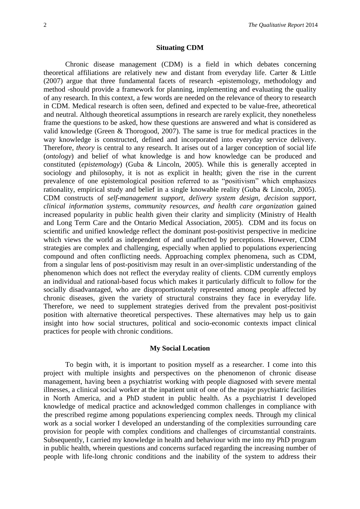#### **Situating CDM**

Chronic disease management (CDM) is a field in which debates concerning theoretical affiliations are relatively new and distant from everyday life. Carter & Little (2007) argue that three fundamental facets of research -epistemology, methodology and method -should provide a framework for planning, implementing and evaluating the quality of any research. In this context, a few words are needed on the relevance of theory to research in CDM. Medical research is often seen, defined and expected to be value-free, atheoretical and neutral. Although theoretical assumptions in research are rarely explicit, they nonetheless frame the questions to be asked, how these questions are answered and what is considered as valid knowledge (Green & Thorogood, 2007). The same is true for medical practices in the way knowledge is constructed, defined and incorporated into everyday service delivery. Therefore, *theory* is central to any research. It arises out of a larger conception of social life (*ontology*) and belief of what knowledge is and how knowledge can be produced and constituted (*epistemology*) (Guba & Lincoln, 2005). While this is generally accepted in sociology and philosophy, it is not as explicit in health; given the rise in the current prevalence of one epistemological position referred to as "positivism" which emphasizes rationality, empirical study and belief in a single knowable reality (Guba & Lincoln, 2005). CDM constructs of *self-management support, delivery system design, decision support, clinical information systems, community resources, and health care organization* gained increased popularity in public health given their clarity and simplicity (Ministry of Health and Long Term Care and the Ontario Medical Association, 2005). CDM and its focus on scientific and unified knowledge reflect the dominant post-positivist perspective in medicine which views the world as independent of and unaffected by perceptions. However, CDM strategies are complex and challenging, especially when applied to populations experiencing compound and often conflicting needs. Approaching complex phenomena, such as CDM, from a singular lens of post-positivism may result in an over-simplistic understanding of the phenomenon which does not reflect the everyday reality of clients. CDM currently employs an individual and rational-based focus which makes it particularly difficult to follow for the socially disadvantaged, who are disproportionately represented among people affected by chronic diseases, given the variety of structural constrains they face in everyday life. Therefore, we need to supplement strategies derived from the prevalent post-positivist position with alternative theoretical perspectives. These alternatives may help us to gain insight into how social structures, political and socio-economic contexts impact clinical practices for people with chronic conditions.

#### **My Social Location**

To begin with, it is important to position myself as a researcher. I come into this project with multiple insights and perspectives on the phenomenon of chronic disease management, having been a psychiatrist working with people diagnosed with severe mental illnesses, a clinical social worker at the inpatient unit of one of the major psychiatric facilities in North America, and a PhD student in public health. As a psychiatrist I developed knowledge of medical practice and acknowledged common challenges in compliance with the prescribed regime among populations experiencing complex needs. Through my clinical work as a social worker I developed an understanding of the complexities surrounding care provision for people with complex conditions and challenges of circumstantial constraints. Subsequently, I carried my knowledge in health and behaviour with me into my PhD program in public health, wherein questions and concerns surfaced regarding the increasing number of people with life-long chronic conditions and the inability of the system to address their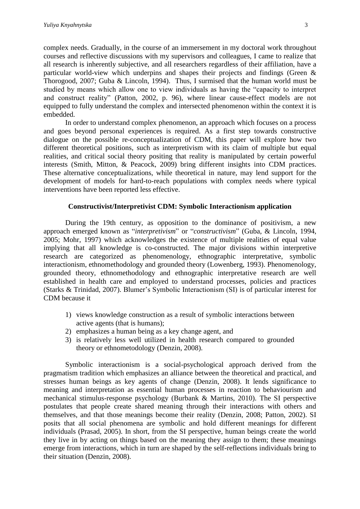complex needs. Gradually, in the course of an immersement in my doctoral work throughout courses and reflective discussions with my supervisors and colleagues, I came to realize that all research is inherently subjective, and all researchers regardless of their affiliation, have a particular world-view which underpins and shapes their projects and findings (Green & Thorogood, 2007; Guba & Lincoln, 1994). Thus, I surmised that the human world must be studied by means which allow one to view individuals as having the "capacity to interpret and construct reality" (Patton, 2002, p. 96), where linear cause-effect models are not equipped to fully understand the complex and intersected phenomenon within the context it is embedded.

In order to understand complex phenomenon, an approach which focuses on a process and goes beyond personal experiences is required. As a first step towards constructive dialogue on the possible re-conceptualization of CDM, this paper will explore how two different theoretical positions, such as interpretivism with its claim of multiple but equal realities, and critical social theory positing that reality is manipulated by certain powerful interests (Smith, Mitton, & Peacock, 2009) bring different insights into CDM practices. These alternative conceptualizations, while theoretical in nature, may lend support for the development of models for hard-to-reach populations with complex needs where typical interventions have been reported less effective.

#### **Constructivist/Interpretivist CDM: Symbolic Interactionism application**

During the 19th century, as opposition to the dominance of positivism, a new approach emerged known as "*interpretivism*" or "*constructivism*" (Guba, & Lincoln, 1994, 2005; Mohr, 1997) which acknowledges the existence of multiple realities of equal value implying that all knowledge is co-constructed. The major divisions within interpretive research are categorized as phenomenology, ethnographic interpretative, symbolic interactionism, ethnomethodology and grounded theory (Lowenberg, 1993). Phenomenology, grounded theory, ethnomethodology and ethnographic interpretative research are well established in health care and employed to understand processes, policies and practices (Starks & Trinidad, 2007). Blumer's Symbolic Interactionism (SI) is of particular interest for CDM because it

- 1) views knowledge construction as a result of symbolic interactions between active agents (that is humans);
- 2) emphasizes a human being as a key change agent, and
- 3) is relatively less well utilized in health research compared to grounded theory or ethnometodology (Denzin, 2008).

Symbolic interactionism is a social-psychological approach derived from the pragmatism tradition which emphasizes an alliance between the theoretical and practical, and stresses human beings as key agents of change (Denzin, 2008). It lends significance to meaning and interpretation as essential human processes in reaction to behaviourism and mechanical stimulus-response psychology (Burbank & Martins, 2010). The SI perspective postulates that people create shared meaning through their interactions with others and themselves, and that those meanings become their reality (Denzin, 2008; Patton, 2002). SI posits that all social phenomena are symbolic and hold different meanings for different individuals (Prasad, 2005). In short, from the SI perspective, human beings create the world they live in by acting on things based on the meaning they assign to them; these meanings emerge from interactions, which in turn are shaped by the self-reflections individuals bring to their situation (Denzin, 2008).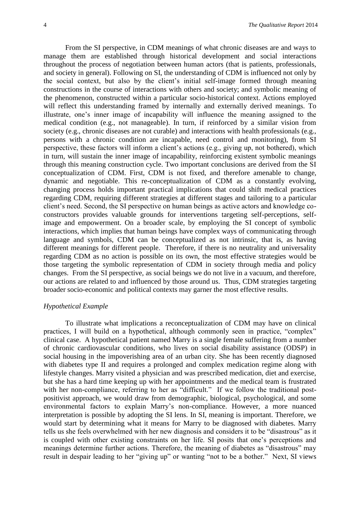From the SI perspective, in CDM meanings of what chronic diseases are and ways to manage them are established through historical development and social interactions throughout the process of negotiation between human actors (that is patients, professionals, and society in general). Following on SI, the understanding of CDM is influenced not only by the social context, but also by the client's initial self-image formed through meaning constructions in the course of interactions with others and society; and symbolic meaning of the phenomenon, constructed within a particular socio-historical context. Actions employed will reflect this understanding framed by internally and externally derived meanings. To illustrate, one's inner image of incapability will influence the meaning assigned to the medical condition (e.g., not manageable). In turn, if reinforced by a similar vision from society (e.g., chronic diseases are not curable) and interactions with health professionals (e.g., persons with a chronic condition are incapable, need control and monitoring), from SI perspective, these factors will inform a client's actions (e.g., giving up, not bothered), which in turn, will sustain the inner image of incapability, reinforcing existent symbolic meanings through this meaning construction cycle. Two important conclusions are derived from the SI conceptualization of CDM. First, CDM is not fixed, and therefore amenable to change, dynamic and negotiable. This re-conceptualization of CDM as a constantly evolving, changing process holds important practical implications that could shift medical practices regarding CDM, requiring different strategies at different stages and tailoring to a particular client's need. Second, the SI perspective on human beings as active actors and knowledge coconstructors provides valuable grounds for interventions targeting self-perceptions, selfimage and empowerment. On a broader scale, by employing the SI concept of symbolic interactions, which implies that human beings have complex ways of communicating through language and symbols, CDM can be conceptualized as not intrinsic, that is, as having different meanings for different people. Therefore, if there is no neutrality and universality regarding CDM as no action is possible on its own, the most effective strategies would be those targeting the symbolic representation of CDM in society through media and policy changes. From the SI perspective, as social beings we do not live in a vacuum, and therefore, our actions are related to and influenced by those around us. Thus, CDM strategies targeting broader socio-economic and political contexts may garner the most effective results.

# *Hypothetical Example*

To illustrate what implications a reconceptualization of CDM may have on clinical practices, I will build on a hypothetical, although commonly seen in practice, "complex" clinical case. A hypothetical patient named Marry is a single female suffering from a number of chronic cardiovascular conditions, who lives on social disability assistance (ODSP) in social housing in the impoverishing area of an urban city. She has been recently diagnosed with diabetes type II and requires a prolonged and complex medication regime along with lifestyle changes. Marry visited a physician and was prescribed medication, diet and exercise, but she has a hard time keeping up with her appointments and the medical team is frustrated with her non-compliance, referring to her as "difficult." If we follow the traditional postpositivist approach, we would draw from demographic, biological, psychological, and some environmental factors to explain Marry's non-compliance. However, a more nuanced interpretation is possible by adopting the SI lens. In SI, meaning is important. Therefore, we would start by determining what it means for Marry to be diagnosed with diabetes. Marry tells us she feels overwhelmed with her new diagnosis and considers it to be "disastrous" as it is coupled with other existing constraints on her life. SI posits that one's perceptions and meanings determine further actions. Therefore, the meaning of diabetes as "disastrous" may result in despair leading to her "giving up" or wanting "not to be a bother." Next, SI views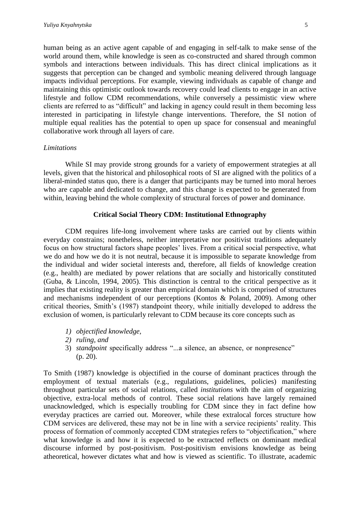human being as an active agent capable of and engaging in self-talk to make sense of the world around them, while knowledge is seen as co-constructed and shared through common symbols and interactions between individuals. This has direct clinical implications as it suggests that perception can be changed and symbolic meaning delivered through language impacts individual perceptions. For example, viewing individuals as capable of change and maintaining this optimistic outlook towards recovery could lead clients to engage in an active lifestyle and follow CDM recommendations, while conversely a pessimistic view where clients are referred to as "difficult" and lacking in agency could result in them becoming less interested in participating in lifestyle change interventions. Therefore, the SI notion of multiple equal realities has the potential to open up space for consensual and meaningful collaborative work through all layers of care.

#### *Limitations*

While SI may provide strong grounds for a variety of empowerment strategies at all levels, given that the historical and philosophical roots of SI are aligned with the politics of a liberal-minded status quo, there is a danger that participants may be turned into moral heroes who are capable and dedicated to change, and this change is expected to be generated from within, leaving behind the whole complexity of structural forces of power and dominance.

## **Critical Social Theory CDM: Institutional Ethnography**

CDM requires life-long involvement where tasks are carried out by clients within everyday constrains; nonetheless, neither interpretative nor positivist traditions adequately focus on how structural factors shape peoples' lives. From a critical social perspective, what we do and how we do it is not neutral, because it is impossible to separate knowledge from the individual and wider societal interests and, therefore, all fields of knowledge creation (e.g., health) are mediated by power relations that are socially and historically constituted (Guba, & Lincoln, 1994, 2005). This distinction is central to the critical perspective as it implies that existing reality is greater than empirical domain which is comprised of structures and mechanisms independent of our perceptions (Kontos & Poland, 2009). Among other critical theories, Smith's (1987) standpoint theory, while initially developed to address the exclusion of women, is particularly relevant to CDM because its core concepts such as

- *1) objectified knowledge,*
- *2) ruling, and*
- 3) *standpoint* specifically address "...a silence, an absence, or nonpresence" (p. 20).

To Smith (1987) knowledge is objectified in the course of dominant practices through the employment of textual materials (e.g., regulations, guidelines, policies) manifesting throughout particular sets of social relations, called *institutions* with the aim of organizing objective, extra-local methods of control. These social relations have largely remained unacknowledged, which is especially troubling for CDM since they in fact define how everyday practices are carried out. Moreover, while these extralocal forces structure how CDM services are delivered, these may not be in line with a service recipients' reality. This process of formation of commonly accepted CDM strategies refers to "objectification," where what knowledge is and how it is expected to be extracted reflects on dominant medical discourse informed by post-positivism. Post-positivism envisions knowledge as being atheoretical, however dictates what and how is viewed as scientific. To illustrate, academic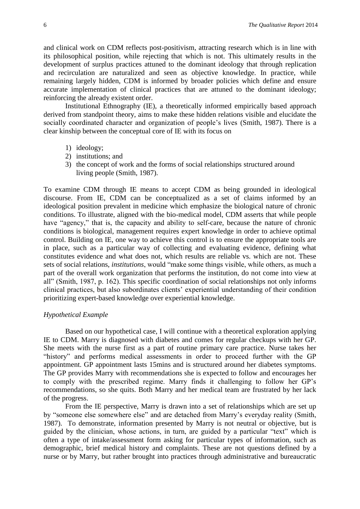and clinical work on CDM reflects post-positivism, attracting research which is in line with its philosophical position, while rejecting that which is not. This ultimately results in the development of surplus practices attuned to the dominant ideology that through replication and recirculation are naturalized and seen as objective knowledge. In practice, while remaining largely hidden, CDM is informed by broader policies which define and ensure accurate implementation of clinical practices that are attuned to the dominant ideology; reinforcing the already existent order.

Institutional Ethnography (IE), a theoretically informed empirically based approach derived from standpoint theory, aims to make these hidden relations visible and elucidate the socially coordinated character and organization of people's lives (Smith, 1987). There is a clear kinship between the conceptual core of IE with its focus on

- 1) ideology;
- 2) institutions; and
- 3) the concept of work and the forms of social relationships structured around living people (Smith, 1987).

To examine CDM through IE means to accept CDM as being grounded in ideological discourse. From IE, CDM can be conceptualized as a set of claims informed by an ideological position prevalent in medicine which emphasize the biological nature of chronic conditions. To illustrate, aligned with the bio-medical model, CDM asserts that while people have "agency," that is, the capacity and ability to self-care, because the nature of chronic conditions is biological, management requires expert knowledge in order to achieve optimal control. Building on IE, one way to achieve this control is to ensure the appropriate tools are in place, such as a particular way of collecting and evaluating evidence, defining what constitutes evidence and what does not, which results are reliable vs. which are not. These sets of social relations, *institutions*, would "make some things visible, while others, as much a part of the overall work organization that performs the institution, do not come into view at all" (Smith, 1987, p. 162). This specific coordination of social relationships not only informs clinical practices, but also subordinates clients' experiential understanding of their condition prioritizing expert-based knowledge over experiential knowledge.

## *Hypothetical Example*

Based on our hypothetical case, I will continue with a theoretical exploration applying IE to CDM. Marry is diagnosed with diabetes and comes for regular checkups with her GP. She meets with the nurse first as a part of routine primary care practice. Nurse takes her "history" and performs medical assessments in order to proceed further with the GP appointment. GP appointment lasts 15mins and is structured around her diabetes symptoms. The GP provides Marry with recommendations she is expected to follow and encourages her to comply with the prescribed regime. Marry finds it challenging to follow her GP's recommendations, so she quits. Both Marry and her medical team are frustrated by her lack of the progress.

From the IE perspective, Marry is drawn into a set of relationships which are set up by "someone else somewhere else" and are detached from Marry's everyday reality (Smith, 1987). To demonstrate, information presented by Marry is not neutral or objective, but is guided by the clinician, whose actions, in turn, are guided by a particular "text" which is often a type of intake/assessment form asking for particular types of information, such as demographic, brief medical history and complaints. These are not questions defined by a nurse or by Marry, but rather brought into practices through administrative and bureaucratic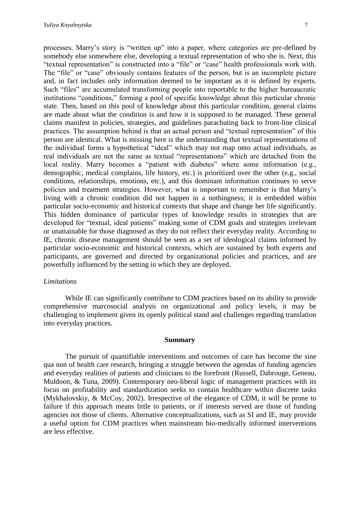processes. Marry's story is "written up" into a paper, where categories are pre-defined by somebody else somewhere else, developing a textual representation of who she is. Next, this "textual representation" is constructed into a "file" or "case" health professionals work with. The "file" or "case" obviously contains features of the person, but is an incomplete picture and, in fact includes only information deemed to be important as it is defined by experts. Such "files" are accumulated transforming people into reportable to the higher bureaucratic institutions "conditions," forming a pool of specific knowledge about this particular chronic state. Then, based on this pool of knowledge about this particular condition, general claims are made about what the condition is and how it is supposed to be managed. These general claims manifest in policies, strategies, and guidelines parachuting back to front-line clinical practices. The assumption behind is that an actual person and "textual representation" of this person are identical. What is missing here is the understanding that textual representations of the individual forms a hypothetical "ideal" which may not map onto actual individuals, as real individuals are not the same as textual "representations" which are detached from the local reality. Marry becomes a "patient with diabetes" where some information (e.g., demographic, medical complains, life history, etc.) is prioritized over the other (e.g., social conditions, relationships, emotions, etc.), and this dominant information continues to serve policies and treatment strategies. However, what is important to remember is that Marry's living with a chronic condition did not happen in a nothingness; it is embedded within particular socio-economic and historical contexts that shape and change her life significantly. This hidden dominance of particular types of knowledge results in strategies that are developed for "textual, ideal patients" making some of CDM goals and strategies irrelevant or unattainable for those diagnosed as they do not reflect their everyday reality. According to IE, chronic disease management should be seen as a set of ideological claims informed by particular socio-economic and historical contexts, which are sustained by both experts and participants, are governed and directed by organizational policies and practices, and are powerfully influenced by the setting in which they are deployed.

#### *Limitations*

While IE can significantly contribute to CDM practices based on its ability to provide comprehensive marcosocial analysis on organizational and policy levels, it may be challenging to implement given its openly political stand and challenges regarding translation into everyday practices.

#### **Summary**

The pursuit of quantifiable interventions and outcomes of care has become the sine qua non of health care research, bringing a struggle between the agendas of funding agencies and everyday realities of patients and clinicians to the forefront (Russell, Dabrouge, Geneau, Muldoon, & Tuna, 2009). Contemporary neo-liberal logic of management practices with its focus on profitability and standardization seeks to contain healthcare within discrete tasks (Mykhalovskiy, & McCoy, 2002). Irrespective of the elegance of CDM, it will be prone to failure if this approach means little to patients, or if interests served are those of funding agencies not those of clients. Alternative conceptualizations, such as SI and IE, may provide a useful option for CDM practices when mainstream bio-medically informed interventions are less effective.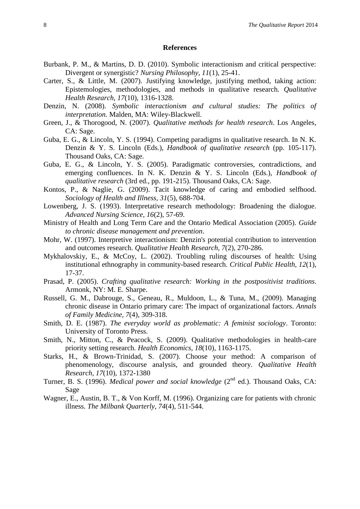#### **References**

- Burbank, P. M., & Martins, D. D. (2010). Symbolic interactionism and critical perspective: Divergent or synergistic? *Nursing Philosophy, 11*(1), 25-41.
- Carter, S., & Little, M. (2007). Justifying knowledge, justifying method, taking action: Epistemologies, methodologies, and methods in qualitative research. *Qualitative Health Research, 17*(10), 1316-1328.
- Denzin, N. (2008). *Symbolic interactionism and cultural studies: The politics of interpretation.* Malden, MA: Wiley-Blackwell.
- Green, J., & Thorogood, N. (2007). *Qualitative methods for health research*. Los Angeles, CA: Sage.
- Guba, E. G., & Lincoln, Y. S. (1994). Competing paradigms in qualitative research. In N. K. Denzin & Y. S. Lincoln (Eds.), *Handbook of qualitative research* (pp. 105-117). Thousand Oaks, CA: Sage.
- Guba, E. G., & Lincoln, Y. S. (2005). Paradigmatic controversies, contradictions, and emerging confluences. In N. K. Denzin & Y. S. Lincoln (Eds.), *Handbook of qualitative research* (3rd ed., pp. 191-215). Thousand Oaks, CA: Sage.
- Kontos, P., & Naglie, G. (2009). Tacit knowledge of caring and embodied selfhood. *Sociology of Health and Illness, 31*(5), 688-704.
- Lowenberg, J. S. (1993). Interpretative research methodology: Broadening the dialogue. *Advanced Nursing Science, 16*(2), 57-69.
- Ministry of Health and Long Term Care and the Ontario Medical Association (2005). *Guide to chronic disease management and prevention*.
- Mohr, W. (1997). Interpretive interactionism: Denzin's potential contribution to intervention and outcomes research. *Qualitative Health Research, 7*(2), 270-286.
- Mykhalovskiy, E., & McCoy, L. (2002). Troubling ruling discourses of health: Using institutional ethnography in community-based research. *Critical Public Health, 12*(1), 17-37.
- Prasad, P. (2005). *Crafting qualitative research: Working in the postpositivist traditions*. Armonk, NY: M. E. Sharpe.
- Russell, G. M., Dabrouge, S., Geneau, R., Muldoon, L., & Tuna, M., (2009). Managing chronic disease in Ontario primary care: The impact of organizational factors. *Annals of Family Medicine, 7*(4), 309-318.
- Smith, D. E. (1987). *The everyday world as problematic: A feminist sociology*. Toronto: University of Toronto Press.
- Smith, N., Mitton, C., & Peacock, S. (2009). Qualitative methodologies in health-care priority setting research. *Health Economics, 18*(10), 1163-1175.
- Starks, H., & Brown-Trinidad, S. (2007). Choose your method: A comparison of phenomenology, discourse analysis, and grounded theory. *Qualitative Health Research, 17*(10), 1372-1380
- Turner, B. S. (1996). *Medical power and social knowledge* (2<sup>nd</sup> ed.). Thousand Oaks, CA: Sage
- Wagner, E., Austin, B. T., & Von Korff, M. (1996). Organizing care for patients with chronic illness. *The Milbank Quarterly, 74*(4), 511-544.